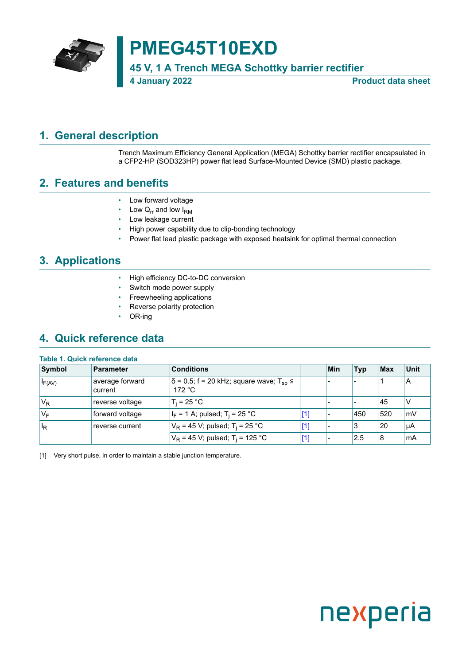

## **PMEG45T10EXD**

**45 V, 1 A Trench MEGA Schottky barrier rectifier**

**4 January 2022 Product data sheet**

### <span id="page-0-1"></span>**1. General description**

<span id="page-0-0"></span>Trench Maximum Efficiency General Application (MEGA) Schottky barrier rectifier encapsulated in a CFP2-HP (SOD323HP) power flat lead Surface-Mounted Device (SMD) plastic package.

### <span id="page-0-2"></span>**2. Features and benefits**

- Low forward voltage
- Low  $Q_{rr}$  and low  $I_{RM}$
- Low leakage current
- High power capability due to clip-bonding technology
- Power flat lead plastic package with exposed heatsink for optimal thermal connection

### <span id="page-0-3"></span>**3. Applications**

- High efficiency DC-to-DC conversion
- Switch mode power supply
- Freewheeling applications
- Reverse polarity protection
- OR-ing

### <span id="page-0-4"></span>**4. Quick reference data**

#### **Table 1. Quick reference data**

| Symbol                  | Parameter                  | <b>Conditions</b>                                                           |       | Min | <b>Typ</b> | <b>Max</b> | <b>Unit</b> |
|-------------------------|----------------------------|-----------------------------------------------------------------------------|-------|-----|------------|------------|-------------|
| $I_{F(AV)}$             | average forward<br>current | $ \delta$ = 0.5; f = 20 kHz; square wave; T <sub>sp</sub> $\leq$<br>172 °C. |       |     |            |            | A           |
| $V_R$                   | reverse voltage            | $T_i = 25 °C$                                                               |       |     |            | 45         | ν           |
| 'V <sub>F</sub>         | forward voltage            | $ I_F = 1 A$ ; pulsed; T <sub>i</sub> = 25 °C                               | $[1]$ |     | 450        | 520        | mV          |
| $\mathsf{I}_\mathsf{R}$ | reverse current            | $V_R$ = 45 V; pulsed; T <sub>i</sub> = 25 °C                                | $[1]$ |     | 3          | 20         | μA          |
|                         |                            | $V_R$ = 45 V; pulsed; T <sub>i</sub> = 125 °C                               | [1]   |     | $2.5$      | 8          | mA          |

[1] Very short pulse, in order to maintain a stable junction temperature.

# nexperia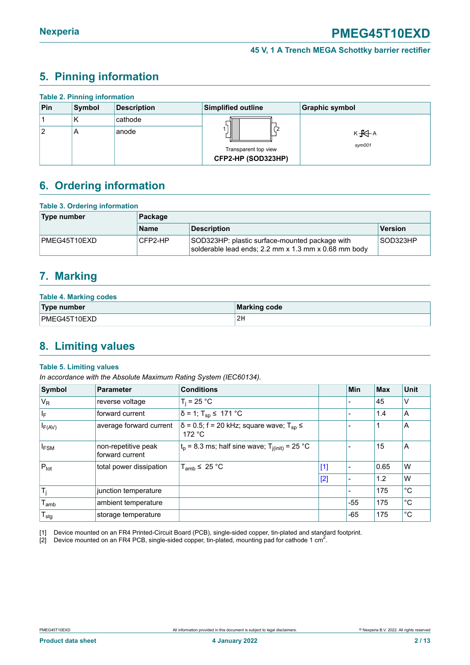### <span id="page-1-1"></span><span id="page-1-0"></span>**5. Pinning information**

| <b>Table 2. Pinning information</b> |        |                    |                                            |                            |  |  |  |  |
|-------------------------------------|--------|--------------------|--------------------------------------------|----------------------------|--|--|--|--|
| Pin                                 | Symbol | <b>Description</b> | <b>Simplified outline</b>                  | <b>Graphic symbol</b>      |  |  |  |  |
|                                     | К      | cathode            |                                            |                            |  |  |  |  |
| 2                                   | A      | anode              | Transparent top view<br>CFP2-HP (SOD323HP) | к <del>Ю</del> А<br>sym001 |  |  |  |  |

### <span id="page-1-2"></span>**6. Ordering information**

| <b>Table 3. Ordering information</b> |             |                                                                                                        |          |  |  |  |
|--------------------------------------|-------------|--------------------------------------------------------------------------------------------------------|----------|--|--|--|
| Type number                          | Package     |                                                                                                        |          |  |  |  |
|                                      | <b>Name</b> | <b>Description</b>                                                                                     | Version  |  |  |  |
| PMEG45T10EXD                         | CFP2-HP     | SOD323HP: plastic surface-mounted package with<br>solderable lead ends; 2.2 mm x 1.3 mm x 0.68 mm body | SOD323HP |  |  |  |

### <span id="page-1-3"></span>**7. Marking**

| <b>Table 4. Marking codes</b> |                     |  |  |  |  |
|-------------------------------|---------------------|--|--|--|--|
| Type number                   | <b>Marking code</b> |  |  |  |  |
| PMEG45T10EXD                  | 2H                  |  |  |  |  |

### <span id="page-1-4"></span>**8. Limiting values**

#### **Table 5. Limiting values**

*In accordance with the Absolute Maximum Rating System (IEC60134).*

| Symbol                       | Parameter                              | <b>Conditions</b>                                                                  |       | <b>Min</b> | <b>Max</b> | <b>Unit</b> |
|------------------------------|----------------------------------------|------------------------------------------------------------------------------------|-------|------------|------------|-------------|
| $V_R$                        | reverse voltage                        | $T_i = 25 °C$                                                                      |       |            | 45         | ٧           |
| l <sub>F</sub>               | forward current                        | $\delta$ = 1; T <sub>sp</sub> ≤ 171 °C                                             |       |            | 1.4        | A           |
| $I_{F(AV)}$                  | average forward current                | $\delta$ = 0.5; f = 20 kHz; square wave; T <sub>sp</sub> $\leq$<br>172 $\degree$ C |       |            |            | ΙA          |
| <b>IFSM</b>                  | non-repetitive peak<br>forward current | $t_p$ = 8.3 ms; half sine wave; $T_{i(init)}$ = 25 °C                              |       |            | 15         | A           |
| $P_{\text{tot}}$             | total power dissipation                | $T_{amb} \leq 25 °C$                                                               | $[1]$ |            | 0.65       | W           |
|                              |                                        |                                                                                    | $[2]$ |            | 1.2        | W           |
| $T_i$                        | junction temperature                   |                                                                                    |       |            | 175        | °C          |
| $\mathsf{T}_{\mathsf{amb}}$  | ambient temperature                    |                                                                                    |       | $-55$      | 175        | °C          |
| ${\mathsf T}_{\textsf{stg}}$ | storage temperature                    |                                                                                    |       | $-65$      | 175        | $^{\circ}C$ |

[1] Device mounted on an FR4 Printed-Circuit Board (PCB), single-sided copper, tin-plated and standard footprint.

[2] Device mounted on an FR4 PCB, single-sided copper, tin-plated, mounting pad for cathode 1 cm<sup>2</sup>.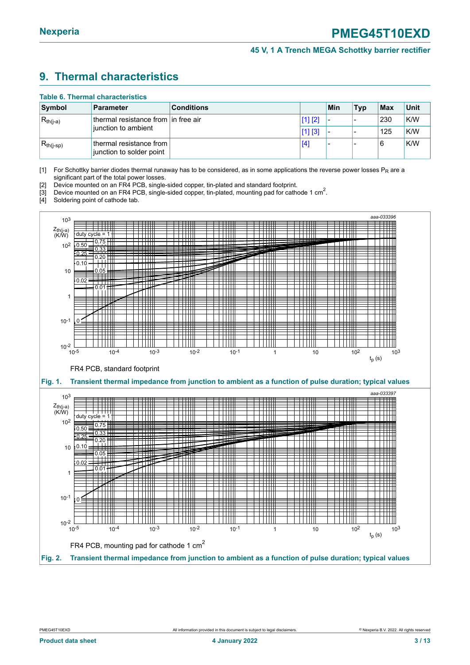### <span id="page-2-1"></span><span id="page-2-0"></span>**9. Thermal characteristics**

#### **Table 6. Thermal characteristics**

| Symbol         | <b>Parameter</b>                                      | <b>Conditions</b> |         | Min                      | <b>Typ</b> | Max | Unit |
|----------------|-------------------------------------------------------|-------------------|---------|--------------------------|------------|-----|------|
| $R_{th(j-a)}$  | ⊥thermal resistance from Lin free air                 |                   | [1] [2] | $\overline{\phantom{a}}$ |            | 230 | K/W  |
|                | junction to ambient                                   |                   | [1] [3] |                          |            | 125 | K/W  |
| $R_{th(j-sp)}$ | thermal resistance from l<br>junction to solder point |                   | [4      | $\overline{\phantom{a}}$ |            | 6   | K/W  |

[1] For Schottky barrier diodes thermal runaway has to be considered, as in some applications the reverse power losses  $P_R$  are a significant part of the total power losses.

[2] Device mounted on an FR4 PCB, single-sided copper, tin-plated and standard footprint.

<sup>1</sup>3] Device mounted on an FR4 PCB, single-sided copper, tin-plated, mounting pad for cathode 1 cm<sup>2</sup>.

[4] Soldering point of cathode tab.

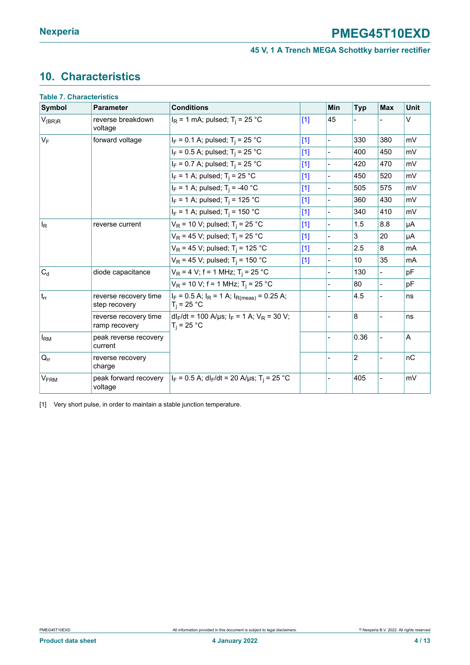### <span id="page-3-1"></span><span id="page-3-0"></span>**10. Characteristics**

|                        | <b>Table 7. Characteristics</b>        |                                                                         |       |                |                |            |        |
|------------------------|----------------------------------------|-------------------------------------------------------------------------|-------|----------------|----------------|------------|--------|
| <b>Symbol</b>          | <b>Parameter</b>                       | <b>Conditions</b>                                                       |       | Min            | <b>Typ</b>     | <b>Max</b> | Unit   |
| $V_{(BR)R}$            | reverse breakdown<br>voltage           | $I_R$ = 1 mA; pulsed; T <sub>i</sub> = 25 °C                            | $[1]$ | 45             |                |            | $\vee$ |
| $V_F$                  | forward voltage                        | $I_F = 0.1$ A; pulsed; T <sub>i</sub> = 25 °C                           | $[1]$ |                | 330            | 380        | mV     |
|                        |                                        | $ I_F = 0.5 A$ ; pulsed; T <sub>i</sub> = 25 °C                         | $[1]$ | $\overline{a}$ | 400            | 450        | mV     |
|                        |                                        | $ I_F = 0.7 A$ ; pulsed; T <sub>i</sub> = 25 °C                         | $[1]$ |                | 420            | 470        | mV     |
|                        |                                        | $ I_F = 1 A$ ; pulsed; T <sub>i</sub> = 25 °C                           | $[1]$ |                | 450            | 520        | mV     |
|                        |                                        | $I_F = 1$ A; pulsed; T <sub>i</sub> = -40 °C                            | $[1]$ |                | 505            | 575        | mV     |
|                        |                                        | $ I_F = 1 A$ ; pulsed; T <sub>i</sub> = 125 °C                          | $[1]$ |                | 360            | 430        | mV     |
|                        |                                        | $I_F$ = 1 A; pulsed; T <sub>i</sub> = 150 °C                            | $[1]$ |                | 340            | 410        | mV     |
| $\vert$ <sub>R</sub>   | reverse current                        | $V_R$ = 10 V; pulsed; T <sub>i</sub> = 25 °C                            | $[1]$ |                | 1.5            | 8.8        | μA     |
|                        |                                        | $V_R$ = 45 V; pulsed; T <sub>i</sub> = 25 °C                            | $[1]$ |                | 3              | 20         | μA     |
|                        |                                        | $V_R$ = 45 V; pulsed; T <sub>i</sub> = 125 °C                           | $[1]$ | $\overline{a}$ | 2.5            | 8          | mA     |
|                        |                                        | $V_R$ = 45 V; pulsed; T <sub>i</sub> = 150 °C                           | $[1]$ |                | 10             | 35         | mA     |
| $C_d$                  | diode capacitance                      | $V_R$ = 4 V; f = 1 MHz; T <sub>i</sub> = 25 °C                          |       |                | 130            |            | pF     |
|                        |                                        | $V_R$ = 10 V; f = 1 MHz; T <sub>i</sub> = 25 °C                         |       |                | 80             |            | pF     |
| $ t_{rr} $             | reverse recovery time<br>step recovery | $I_F = 0.5$ A; $I_R = 1$ A; $I_{R(meas)} = 0.25$ A;<br>$T_i = 25 °C$    |       |                | 4.5            |            | ns     |
|                        | reverse recovery time<br>ramp recovery | $d _{F}/dt = 100$ A/µs; $ _{F} = 1$ A; $V_{R} = 30$ V;<br>$T_i = 25 °C$ |       |                | 8              |            | ns     |
| $I_{\rm RM}$           | peak reverse recovery<br>current       |                                                                         |       |                | 0.36           |            | A      |
| $Q_{rr}$               | reverse recovery<br>charge             |                                                                         |       |                | $\overline{c}$ |            | nC     |
| <b>V<sub>FRM</sub></b> | peak forward recovery<br>voltage       | $I_F = 0.5$ A; dl <sub>F</sub> /dt = 20 A/µs; T <sub>i</sub> = 25 °C    |       |                | 405            |            | mV     |

[1] Very short pulse, in order to maintain a stable junction temperature.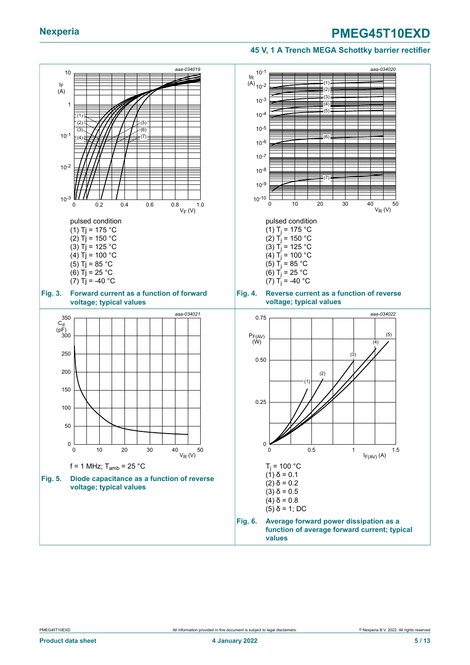#### **45 V, 1 A Trench MEGA Schottky barrier rectifier**

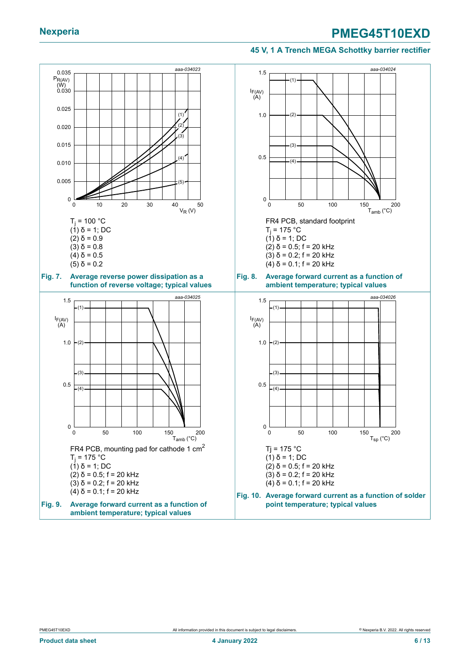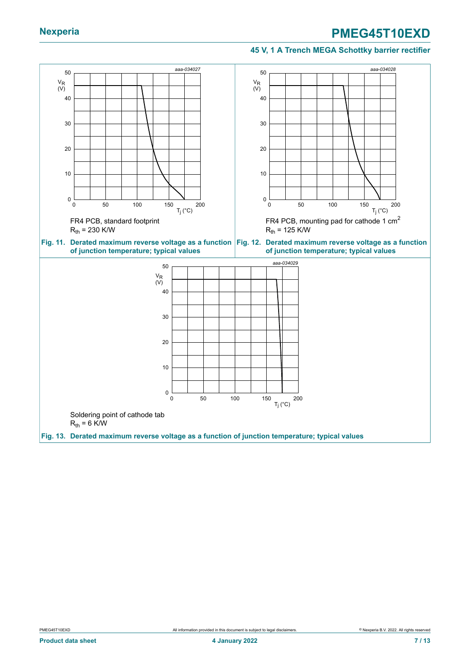#### **45 V, 1 A Trench MEGA Schottky barrier rectifier**

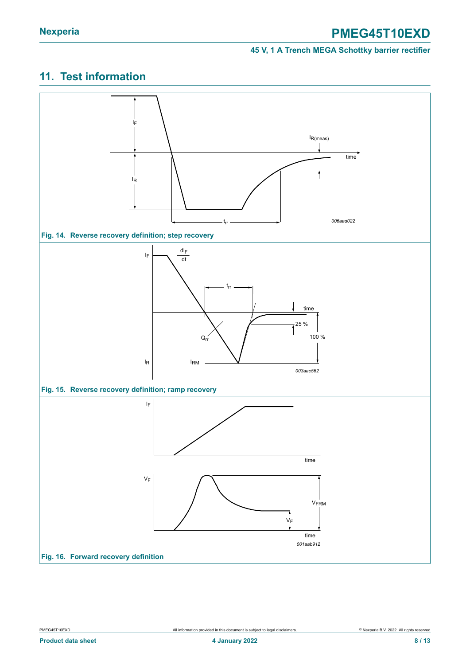### <span id="page-7-0"></span>**11. Test information**

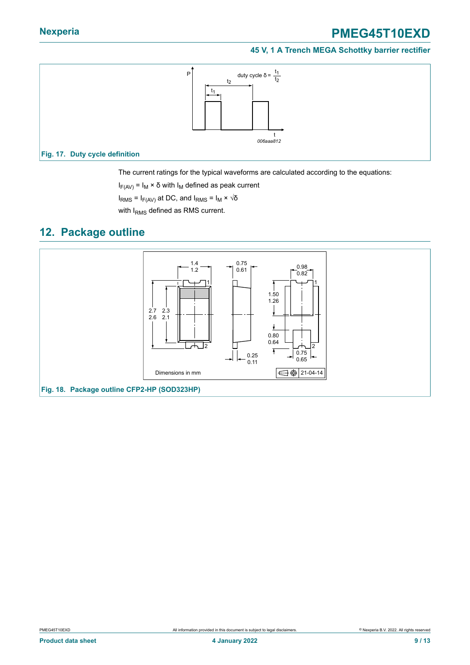#### **45 V, 1 A Trench MEGA Schottky barrier rectifier**



The current ratings for the typical waveforms are calculated according to the equations:

 $I_{F(AV)} = I_M \times \delta$  with  $I_M$  defined as peak current

 $I<sub>RMS</sub>$  = I<sub>F(AV)</sub> at DC, and I<sub>RMS</sub> = I<sub>M</sub> × √δ

with I<sub>RMS</sub> defined as RMS current.

### <span id="page-8-0"></span>**12. Package outline**

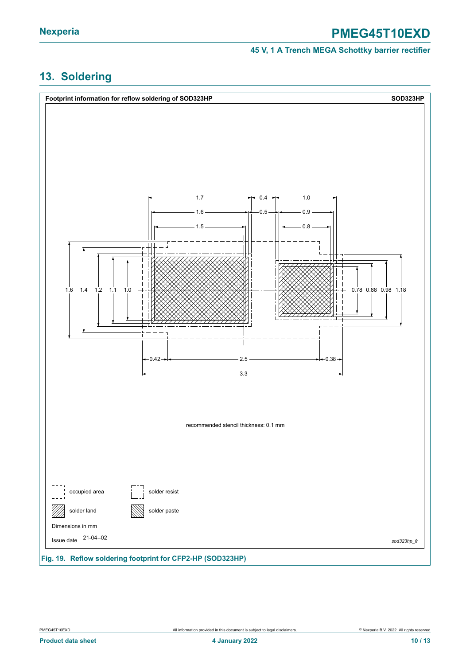#### **45 V, 1 A Trench MEGA Schottky barrier rectifier**

### <span id="page-9-0"></span>**13. Soldering**

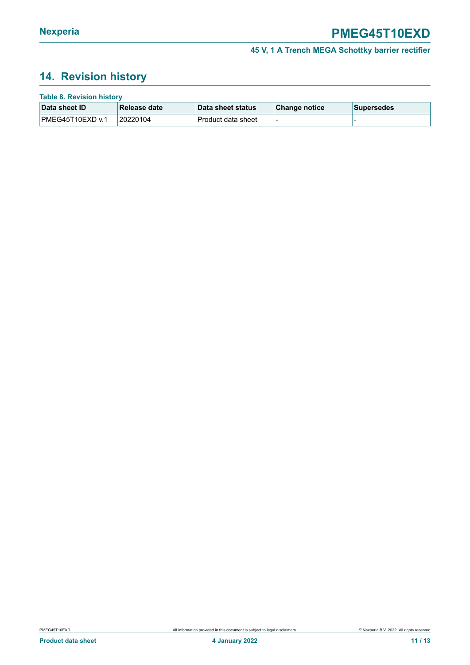### <span id="page-10-0"></span>**14. Revision history**

| <b>Table 8. Revision history</b> |               |                     |               |             |  |  |  |
|----------------------------------|---------------|---------------------|---------------|-------------|--|--|--|
| Data sheet ID                    | ∣Release date | ⊺Data sheet status  | Change notice | ∣Supersedes |  |  |  |
| IPMEG45T10EXD v.1                | 20220104      | ⊺Product data sheet |               |             |  |  |  |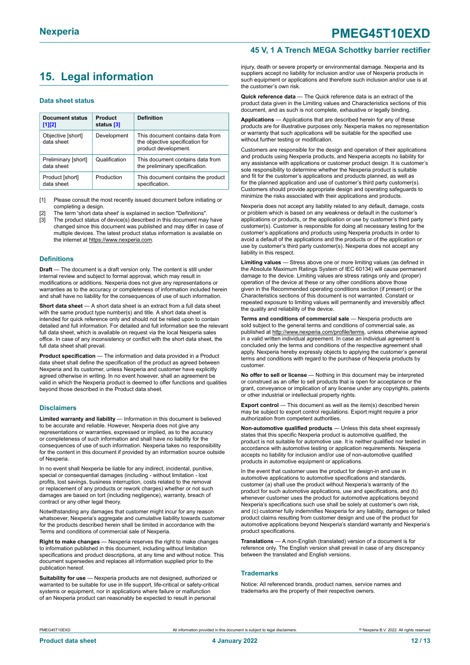### <span id="page-11-0"></span>**15. Legal information**

#### **Data sheet status**

| Document status<br>$[1]$ [2]      | Product<br>status [3] | <b>Definition</b>                                                                           |
|-----------------------------------|-----------------------|---------------------------------------------------------------------------------------------|
| Objective [short]<br>data sheet   | Development           | This document contains data from<br>the objective specification for<br>product development. |
| Preliminary [short]<br>data sheet | Qualification         | This document contains data from<br>the preliminary specification.                          |
| Product [short]<br>data sheet     | Production            | This document contains the product<br>specification.                                        |

[1] Please consult the most recently issued document before initiating or completing a design.

- The term 'short data sheet' is explained in section "Definitions".
- [3] The product status of device(s) described in this document may have changed since this document was published and may differ in case of multiple devices. The latest product status information is available on the internet at [https://www.nexperia.com.](https://www.nexperia.com)

#### **Definitions**

**Draft** — The document is a draft version only. The content is still under internal review and subject to formal approval, which may result in modifications or additions. Nexperia does not give any representations or warranties as to the accuracy or completeness of information included herein and shall have no liability for the consequences of use of such information.

**Short data sheet** — A short data sheet is an extract from a full data sheet with the same product type number(s) and title. A short data sheet is intended for quick reference only and should not be relied upon to contain detailed and full information. For detailed and full information see the relevant full data sheet, which is available on request via the local Nexperia sales office. In case of any inconsistency or conflict with the short data sheet, the full data sheet shall prevail.

**Product specification** — The information and data provided in a Product data sheet shall define the specification of the product as agreed between Nexperia and its customer, unless Nexperia and customer have explicitly agreed otherwise in writing. In no event however, shall an agreement be valid in which the Nexperia product is deemed to offer functions and qualities beyond those described in the Product data sheet.

#### **Disclaimers**

**Limited warranty and liability** — Information in this document is believed to be accurate and reliable. However, Nexperia does not give any representations or warranties, expressed or implied, as to the accuracy or completeness of such information and shall have no liability for the consequences of use of such information. Nexperia takes no responsibility for the content in this document if provided by an information source outside of Nexperia.

In no event shall Nexperia be liable for any indirect, incidental, punitive, special or consequential damages (including - without limitation - lost profits, lost savings, business interruption, costs related to the removal or replacement of any products or rework charges) whether or not such damages are based on tort (including negligence), warranty, breach of contract or any other legal theory.

Notwithstanding any damages that customer might incur for any reason whatsoever, Nexperia's aggregate and cumulative liability towards customer for the products described herein shall be limited in accordance with the Terms and conditions of commercial sale of Nexperia.

**Right to make changes** — Nexperia reserves the right to make changes to information published in this document, including without limitation specifications and product descriptions, at any time and without notice. This document supersedes and replaces all information supplied prior to the publication hereof

**Suitability for use** — Nexperia products are not designed, authorized or warranted to be suitable for use in life support, life-critical or safety-critical systems or equipment, nor in applications where failure or malfunction of an Nexperia product can reasonably be expected to result in personal

#### **45 V, 1 A Trench MEGA Schottky barrier rectifier**

injury, death or severe property or environmental damage. Nexperia and its suppliers accept no liability for inclusion and/or use of Nexperia products in such equipment or applications and therefore such inclusion and/or use is at the customer's own risk.

**Quick reference data** — The Quick reference data is an extract of the product data given in the Limiting values and Characteristics sections of this document, and as such is not complete, exhaustive or legally binding.

**Applications** — Applications that are described herein for any of these products are for illustrative purposes only. Nexperia makes no representation or warranty that such applications will be suitable for the specified use without further testing or modification.

Customers are responsible for the design and operation of their applications and products using Nexperia products, and Nexperia accepts no liability for any assistance with applications or customer product design. It is customer's sole responsibility to determine whether the Nexperia product is suitable and fit for the customer's applications and products planned, as well as for the planned application and use of customer's third party customer(s). Customers should provide appropriate design and operating safeguards to minimize the risks associated with their applications and products.

Nexperia does not accept any liability related to any default, damage, costs or problem which is based on any weakness or default in the customer's applications or products, or the application or use by customer's third party customer(s). Customer is responsible for doing all necessary testing for the customer's applications and products using Nexperia products in order to avoid a default of the applications and the products or of the application or use by customer's third party customer(s). Nexperia does not accept any liability in this respect.

**Limiting values** — Stress above one or more limiting values (as defined in the Absolute Maximum Ratings System of IEC 60134) will cause permanent damage to the device. Limiting values are stress ratings only and (proper) operation of the device at these or any other conditions above those given in the Recommended operating conditions section (if present) or the Characteristics sections of this document is not warranted. Constant or repeated exposure to limiting values will permanently and irreversibly affect the quality and reliability of the device.

**Terms and conditions of commercial sale** — Nexperia products are sold subject to the general terms and conditions of commercial sale, as published at [http://www.nexperia.com/profile/terms,](http://www.nexperia.com/profile/terms) unless otherwise agreed in a valid written individual agreement. In case an individual agreement is concluded only the terms and conditions of the respective agreement shall apply. Nexperia hereby expressly objects to applying the customer's general terms and conditions with regard to the purchase of Nexperia products by customer.

**No offer to sell or license** — Nothing in this document may be interpreted or construed as an offer to sell products that is open for acceptance or the grant, conveyance or implication of any license under any copyrights, patents or other industrial or intellectual property rights.

**Export control** — This document as well as the item(s) described herein may be subject to export control regulations. Export might require a prior authorization from competent authorities.

**Non-automotive qualified products** — Unless this data sheet expressly states that this specific Nexperia product is automotive qualified, the product is not suitable for automotive use. It is neither qualified nor tested in accordance with automotive testing or application requirements. Nexperia accepts no liability for inclusion and/or use of non-automotive qualified products in automotive equipment or applications.

In the event that customer uses the product for design-in and use in automotive applications to automotive specifications and standards, customer (a) shall use the product without Nexperia's warranty of the product for such automotive applications, use and specifications, and (b) whenever customer uses the product for automotive applications beyond Nexperia's specifications such use shall be solely at customer's own risk, and (c) customer fully indemnifies Nexperia for any liability, damages or failed product claims resulting from customer design and use of the product for automotive applications beyond Nexperia's standard warranty and Nexperia's product specifications.

**Translations** — A non-English (translated) version of a document is for reference only. The English version shall prevail in case of any discrepancy between the translated and English versions.

#### **Trademarks**

Notice: All referenced brands, product names, service names and trademarks are the property of their respective owners.